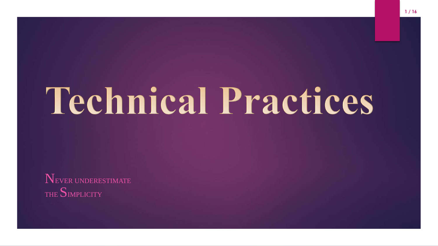# **Technical Practices**

NEVER UNDERESTIMATE THE SIMPLICITY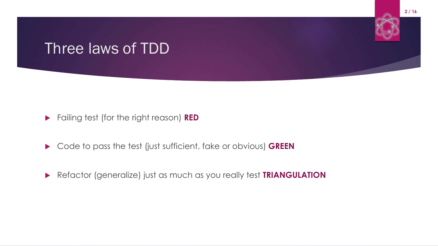#### Three laws of TDD



- Code to pass the test (just sufficient, fake or obvious) **GREEN**
- Refactor (generalize) just as much as you really test **TRIANGULATION**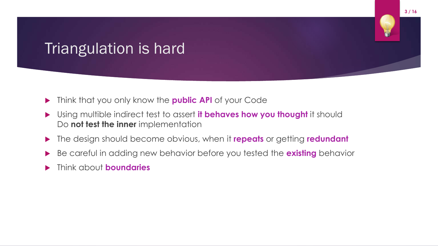## Triangulation is hard

- Think that you only know the **public API** of your Code
- Using multible indirect test to assert **it behaves how you thought** it should Do **not test the inner** implementation
- The design should become obvious, when it **repeats** or getting **redundant**
- Be careful in adding new behavior before you tested the **existing** behavior
- Think about **boundaries**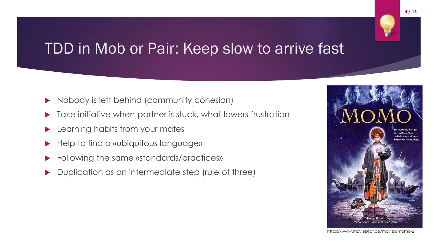#### TDD in Mob or Pair: Keep slow to arrive fast

- $\triangleright$  Nobody is left behind (community cohesion)
- Take initiative when partner is stuck, what lowers frustration
- Learning habits from your mates
- Help to find a «ubiquitous language»
- Following the same «standards/practices»
- Duplication as an intermediate step (rule of three)



https://www.moviepilot.de/movies/momo-2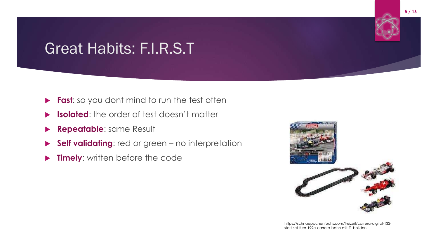## Great Habits: F.I.R.S.T

- **Fast:** so you dont mind to run the test often
- **Isolated:** the order of test doesn't matter
- **Repeatable**: same Result
- **Self validating**: red or green no interpretation
- **Timely:** written before the code



https://schnaeppchenfuchs.com/freizeit/carrera-digital-132 start-set-fuer-199e-carrera-bahn-mit-f1-boliden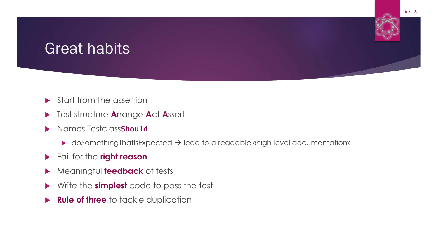#### Great habits



- Test structure **A**rrange **A**ct **A**ssert
- Names Testclass**Should**
	- $\blacktriangleright$  doSomethingThatIsExpected  $\rightarrow$  lead to a readable «high level documentation»
- Fail for the **right reason**
- Meaningful **feedback** of tests
- Write the **simplest** code to pass the test
- **Rule of three** to tackle duplication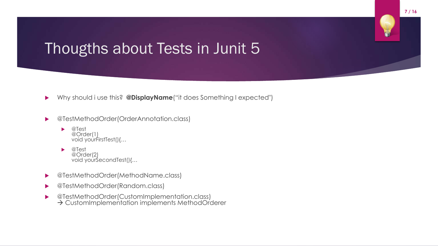#### Thougths about Tests in Junit 5

- Why should i use this? **@DisplayName**("it does Something I expected")
- @TestMethodOrder(OrderAnnotation.class)
	- @Test @Order(1) void yourFirstTest(){...
	- @Test @Order(2) void yourŚecondTest(){...
- ▶ @TestMethodOrder(MethodName.class)
- @TestMethodOrder(Random.class)
- @TestMethodOrder(CustomImplementation.class) → CustomImplementation implements MethodOrderer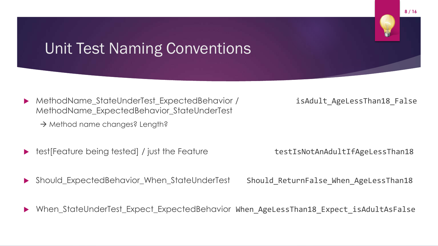#### Unit Test Naming Conventions

- MethodName\_StateUnderTest\_ExpectedBehavior / isAdult\_AgeLessThan18\_False MethodName\_ExpectedBehavior\_StateUnderTest
	- $\rightarrow$  Method name changes? Length?
- test[Feature being tested] / just the Feature testIsNotAnAdultIfAgeLessThan18

Should\_ExpectedBehavior\_When\_StateUnderTest Should ReturnFalse When AgeLessThan18

When\_StateUnderTest\_Expect\_ExpectedBehavior When\_AgeLessThan18\_Expect\_isAdultAsFalse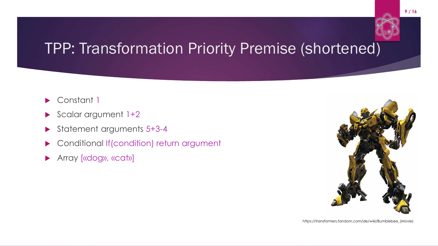# TPP: Transformation Priority Premise (shortened)

- Constant 1
- Scalar argument 1+2
- Statement arguments 5+3-4
- **Conditional If(condition) return argument**
- **Array [«dog», «cat»]**

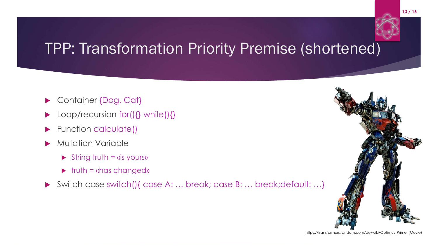## TPP: Transformation Priority Premise (shortened)

- ▶ Container {Dog, Cat}
- Loop/recursion for(){} while(){}
- Function calculate()
- Mutation Variable
	- $\triangleright$  String truth = «is yours»
	- $\triangleright$  truth = «has changed»
- Switch case switch(){ case A: … break; case B: … break;default: …}



https://transformers.fandom.com/de/wiki/Optimus\_Prime\_(Movie)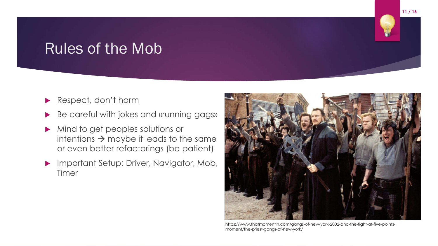#### Rules of the Mob

- Respect, don't harm
- Be careful with jokes and «running gags»
- Mind to get peoples solutions or intentions  $\rightarrow$  maybe it leads to the same or even better refactorings (be patient)
- **Important Setup: Driver, Navigator, Mob,** Timer



https://www.thatmomentin.com/gangs-of-new-york-2002-and-the-fight-at-five-pointsmoment/the-priest-gangs-of-new-york/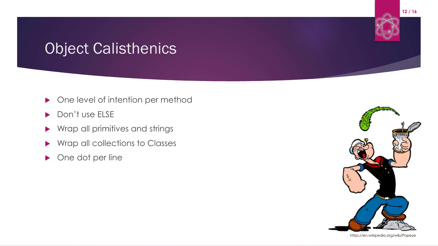# Object Calisthenics

- **One level of intention per method**
- Don't use ELSE
- ▶ Wrap all primitives and strings
- ▶ Wrap all collections to Classes
- ▶ One dot per line





https://en.wikipedia.org/wiki/Popeye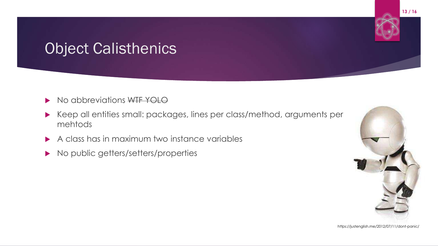## Object Calisthenics

- No abbreviations WTF YOLO
- Keep all entities small: packages, lines per class/method, arguments per mehtods
- A class has in maximum two instance variables
- No public getters/setters/properties



https://justenglish.me/2012/07/11/dont-panic/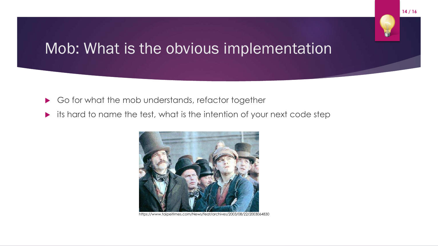#### Mob: What is the obvious implementation

- Go for what the mob understands, refactor together
- its hard to name the test, what is the intention of your next code step



https://www.taipeitimes.com/News/feat/archives/2003/08/22/2003064830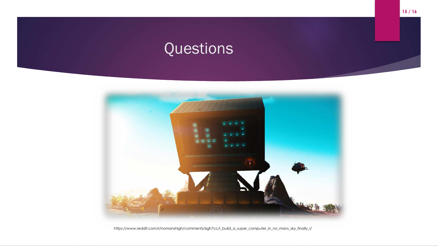# Questions



https://www.reddit.com/r/nomanshigh/comments/6gh7cc/i\_build\_a\_super\_computer\_in\_no\_mans\_sky\_finally\_i/